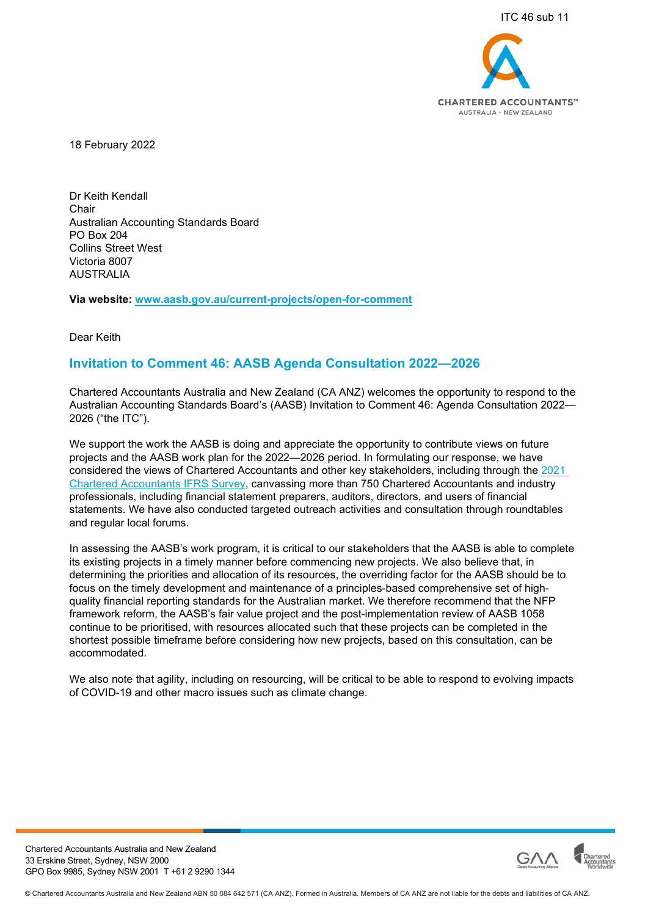

18 February 2022

Dr Keith Kendall Chair Australian Accounting Standards Board PO Box 204 Collins Street West Victoria 8007 AUSTRALIA

**Via website: [www.aasb.gov.au/current-projects/open-for-comment](http://www.aasb.gov.au/current-projects/open-for-comment)**

Dear Keith

# **Invitation to Comment 46: AASB Agenda Consultation 2022—2026**

Chartered Accountants Australia and New Zealand (CA ANZ) welcomes the opportunity to respond to the Australian Accounting Standards Board's (AASB) Invitation to Comment 46: Agenda Consultation 2022— 2026 ("the ITC").

We support the work the AASB is doing and appreciate the opportunity to contribute views on future projects and the AASB work plan for the 2022—2026 period. In formulating our response, we have considered the views of Chartered Accountants and other key stakeholders, including through the [2021](https://www.charteredaccountantsanz.com/news-and-analysis/insights/research-and-insights/2021-chartered-accountants-ifrs-survey)  [Chartered Accountants IFRS Survey,](https://www.charteredaccountantsanz.com/news-and-analysis/insights/research-and-insights/2021-chartered-accountants-ifrs-survey) canvassing more than 750 Chartered Accountants and industry professionals, including financial statement preparers, auditors, directors, and users of financial statements. We have also conducted targeted outreach activities and consultation through roundtables and regular local forums.

In assessing the AASB's work program, it is critical to our stakeholders that the AASB is able to complete its existing projects in a timely manner before commencing new projects. We also believe that, in determining the priorities and allocation of its resources, the overriding factor for the AASB should be to focus on the timely development and maintenance of a principles-based comprehensive set of highquality financial reporting standards for the Australian market. We therefore recommend that the NFP framework reform, the AASB's fair value project and the post-implementation review of AASB 1058 continue to be prioritised, with resources allocated such that these projects can be completed in the shortest possible timeframe before considering how new projects, based on this consultation, can be accommodated.

We also note that agility, including on resourcing, will be critical to be able to respond to evolving impacts of COVID-19 and other macro issues such as climate change.



Chartered Accountants Australia and New Zealand 33 Erskine Street, Sydney, NSW 2000 GPO Box 9985, Sydney NSW 2001 T +61 2 9290 1344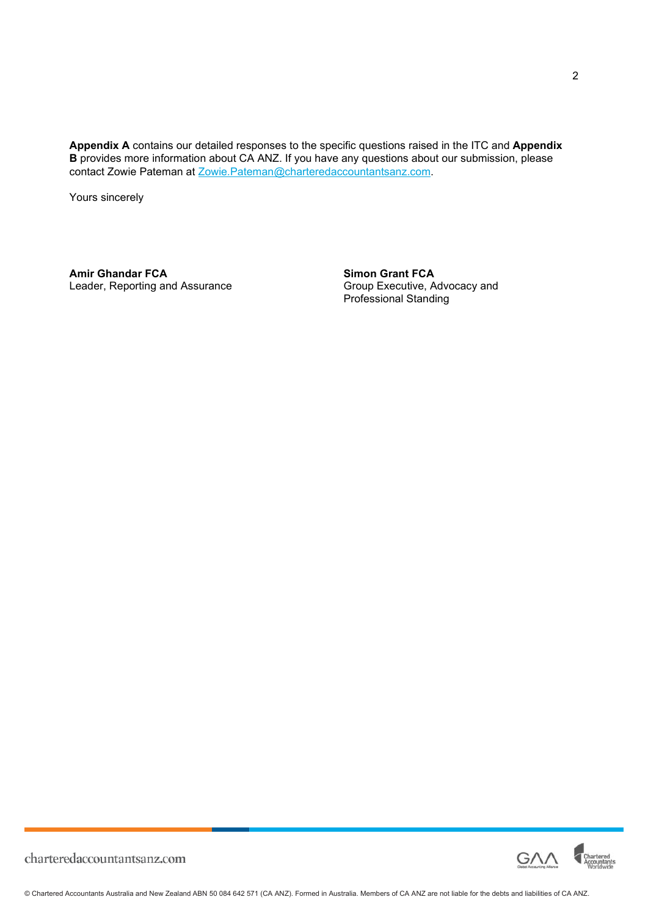**Appendix A** contains our detailed responses to the specific questions raised in the ITC and **Appendix B** provides more information about CA ANZ. If you have any questions about our submission, please contact Zowie Pateman at [Zowie.Pateman@charteredaccountantsanz.com.](mailto:Zowie.Pateman@charteredaccountantsanz.com)

Yours sincerely

**Amir Ghandar FCA**<br>
Leader, Reporting and Assurance<br>
Croup Executive, Advocacy and Leader, Reporting and Assurance

Professional Standing

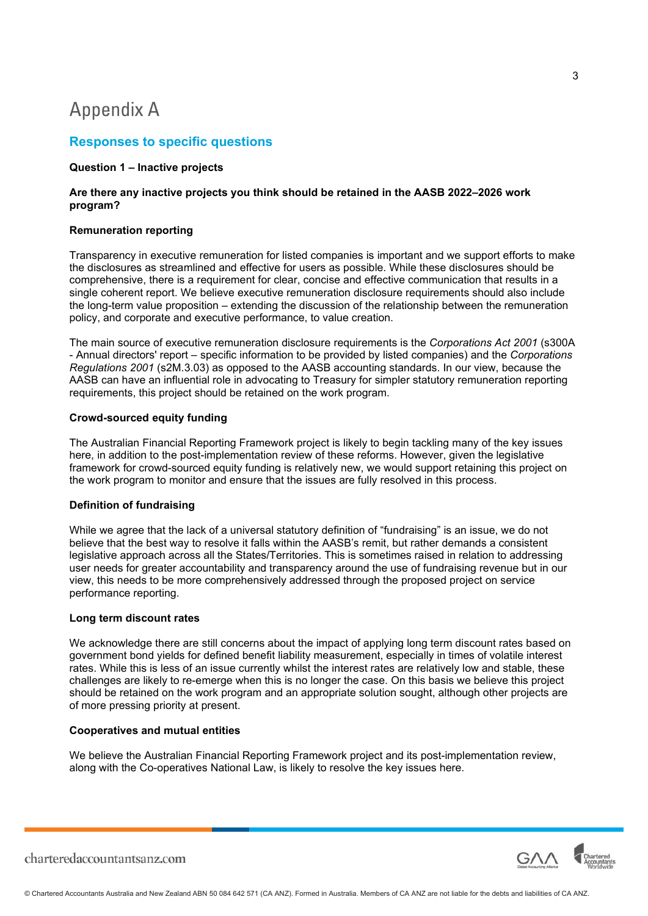# Appendix A

# **Responses to specific questions**

### **Question 1 – Inactive projects**

## **Are there any inactive projects you think should be retained in the AASB 2022–2026 work program?**

## **Remuneration reporting**

Transparency in executive remuneration for listed companies is important and we support efforts to make the disclosures as streamlined and effective for users as possible. While these disclosures should be comprehensive, there is a requirement for clear, concise and effective communication that results in a single coherent report. We believe executive remuneration disclosure requirements should also include the long-term value proposition – extending the discussion of the relationship between the remuneration policy, and corporate and executive performance, to value creation.

The main source of executive remuneration disclosure requirements is the *Corporations Act 2001* (s300A - Annual directors' report – specific information to be provided by listed companies) and the *Corporations Regulations 2001* (s2M.3.03) as opposed to the AASB accounting standards. In our view, because the AASB can have an influential role in advocating to Treasury for simpler statutory remuneration reporting requirements, this project should be retained on the work program.

# **Crowd-sourced equity funding**

The Australian Financial Reporting Framework project is likely to begin tackling many of the key issues here, in addition to the post-implementation review of these reforms. However, given the legislative framework for crowd-sourced equity funding is relatively new, we would support retaining this project on the work program to monitor and ensure that the issues are fully resolved in this process.

# **Definition of fundraising**

While we agree that the lack of a universal statutory definition of "fundraising" is an issue, we do not believe that the best way to resolve it falls within the AASB's remit, but rather demands a consistent legislative approach across all the States/Territories. This is sometimes raised in relation to addressing user needs for greater accountability and transparency around the use of fundraising revenue but in our view, this needs to be more comprehensively addressed through the proposed project on service performance reporting.

### **Long term discount rates**

We acknowledge there are still concerns about the impact of applying long term discount rates based on government bond yields for defined benefit liability measurement, especially in times of volatile interest rates. While this is less of an issue currently whilst the interest rates are relatively low and stable, these challenges are likely to re-emerge when this is no longer the case. On this basis we believe this project should be retained on the work program and an appropriate solution sought, although other projects are of more pressing priority at present.

## **Cooperatives and mutual entities**

We believe the Australian Financial Reporting Framework project and its post-implementation review, along with the Co-operatives National Law, is likely to resolve the key issues here.

3

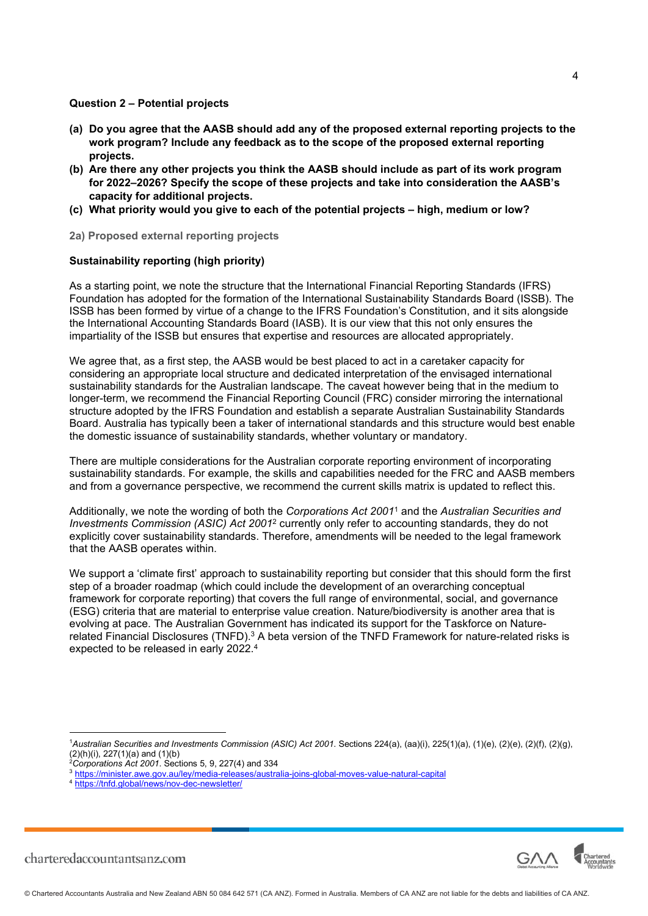#### **Question 2 – Potential projects**

- **(a) Do you agree that the AASB should add any of the proposed external reporting projects to the work program? Include any feedback as to the scope of the proposed external reporting projects.**
- **(b) Are there any other projects you think the AASB should include as part of its work program for 2022–2026? Specify the scope of these projects and take into consideration the AASB's capacity for additional projects.**
- **(c) What priority would you give to each of the potential projects high, medium or low?**
- **2a) Proposed external reporting projects**

# **Sustainability reporting (high priority)**

As a starting point, we note the structure that the International Financial Reporting Standards (IFRS) Foundation has adopted for the formation of the International Sustainability Standards Board (ISSB). The ISSB has been formed by virtue of a change to the IFRS Foundation's Constitution, and it sits alongside the International Accounting Standards Board (IASB). It is our view that this not only ensures the impartiality of the ISSB but ensures that expertise and resources are allocated appropriately.

We agree that, as a first step, the AASB would be best placed to act in a caretaker capacity for considering an appropriate local structure and dedicated interpretation of the envisaged international sustainability standards for the Australian landscape. The caveat however being that in the medium to longer-term, we recommend the Financial Reporting Council (FRC) consider mirroring the international structure adopted by the IFRS Foundation and establish a separate Australian Sustainability Standards Board. Australia has typically been a taker of international standards and this structure would best enable the domestic issuance of sustainability standards, whether voluntary or mandatory.

There are multiple considerations for the Australian corporate reporting environment of incorporating sustainability standards. For example, the skills and capabilities needed for the FRC and AASB members and from a governance perspective, we recommend the current skills matrix is updated to reflect this.

Additionally, we note the wording of both the *Corporations Act 2001*[1](#page-3-0) and the *Australian Securities and*  Investments Commission (ASIC) Act [2](#page-3-1)001<sup>2</sup> currently only refer to accounting standards, they do not explicitly cover sustainability standards. Therefore, amendments will be needed to the legal framework that the AASB operates within.

We support a 'climate first' approach to sustainability reporting but consider that this should form the first step of a broader roadmap (which could include the development of an overarching conceptual framework for corporate reporting) that covers the full range of environmental, social, and governance (ESG) criteria that are material to enterprise value creation. Nature/biodiversity is another area that is evolving at pace. The Australian Government has indicated its support for the Taskforce on Naturerelated Financial Disclosures (TNFD). $^3$  $^3$  A beta version of the TNFD Framework for nature-related risks is expected to be released in early 2022.[4](#page-3-3)



<span id="page-3-0"></span><sup>1</sup>*Australian Securities and Investments Commission (ASIC) Act 2001*. Sections 224(a), (aa)(i), 225(1)(a), (1)(e), (2)(e), (2)(f), (2)(g), (2)(h)(i), 227(1)(a) and (1)(b)

<span id="page-3-1"></span><sup>2</sup>*Corporations Act 2001*. Sections 5, 9, 227(4) and 334

<span id="page-3-2"></span><sup>3</sup> https://minister.awe.gov.au/ley/media-releases/australia-joins-global-moves-value-natural-capital

<span id="page-3-3"></span><sup>4</sup> https://tnfd.global/news/nov-dec-newsletter/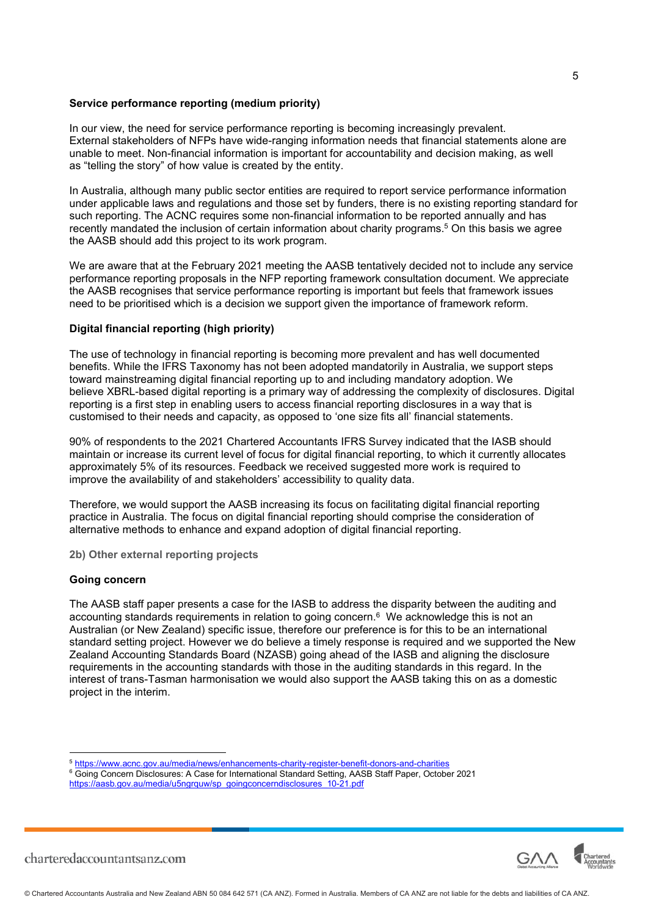#### **Service performance reporting (medium priority)**

In our view, the need for service performance reporting is becoming increasingly prevalent. External stakeholders of NFPs have wide-ranging information needs that financial statements alone are unable to meet. Non-financial information is important for accountability and decision making, as well as "telling the story" of how value is created by the entity.

In Australia, although many public sector entities are required to report service performance information under applicable laws and regulations and those set by funders, there is no existing reporting standard for such reporting. The ACNC requires some non-financial information to be reported annually and has recently mandated the inclusion of certain information about charity programs.[5](#page-4-0) On this basis we agree the AASB should add this project to its work program.

We are aware that at the February 2021 meeting the AASB tentatively decided not to include any service performance reporting proposals in the NFP reporting framework consultation document. We appreciate the AASB recognises that service performance reporting is important but feels that framework issues need to be prioritised which is a decision we support given the importance of framework reform.

# **Digital financial reporting (high priority)**

The use of technology in financial reporting is becoming more prevalent and has well documented benefits. While the IFRS Taxonomy has not been adopted mandatorily in Australia, we support steps toward mainstreaming digital financial reporting up to and including mandatory adoption. We believe XBRL-based digital reporting is a primary way of addressing the complexity of disclosures. Digital reporting is a first step in enabling users to access financial reporting disclosures in a way that is customised to their needs and capacity, as opposed to 'one size fits all' financial statements.

90% of respondents to the 2021 Chartered Accountants IFRS Survey indicated that the IASB should maintain or increase its current level of focus for digital financial reporting, to which it currently allocates approximately 5% of its resources. Feedback we received suggested more work is required to improve the availability of and stakeholders' accessibility to quality data.

Therefore, we would support the AASB increasing its focus on facilitating digital financial reporting practice in Australia. The focus on digital financial reporting should comprise the consideration of alternative methods to enhance and expand adoption of digital financial reporting.

**2b) Other external reporting projects** 

### **Going concern**

The AASB staff paper presents a case for the IASB to address the disparity between the auditing and accounting standards requirements in relation to going concern. $\rm ^6$  $\rm ^6$  We acknowledge this is not an Australian (or New Zealand) specific issue, therefore our preference is for this to be an international standard setting project. However we do believe a timely response is required and we supported the New Zealand Accounting Standards Board (NZASB) going ahead of the IASB and aligning the disclosure requirements in the accounting standards with those in the auditing standards in this regard. In the interest of trans-Tasman harmonisation we would also support the AASB taking this on as a domestic project in the interim.



<span id="page-4-0"></span><sup>5</sup> https://www.acnc.gov.au/media/news/enhancements-charity-register-benefit-donors-and-charities

<span id="page-4-1"></span> $\rm ^6$  Going Concern Disclosures: A Case for International Standard Setting, AASB Staff Paper, October 2021

https://aasb.gov.au/media/u5ngrquw/sp\_goingconcerndisclosures\_10-21.pdf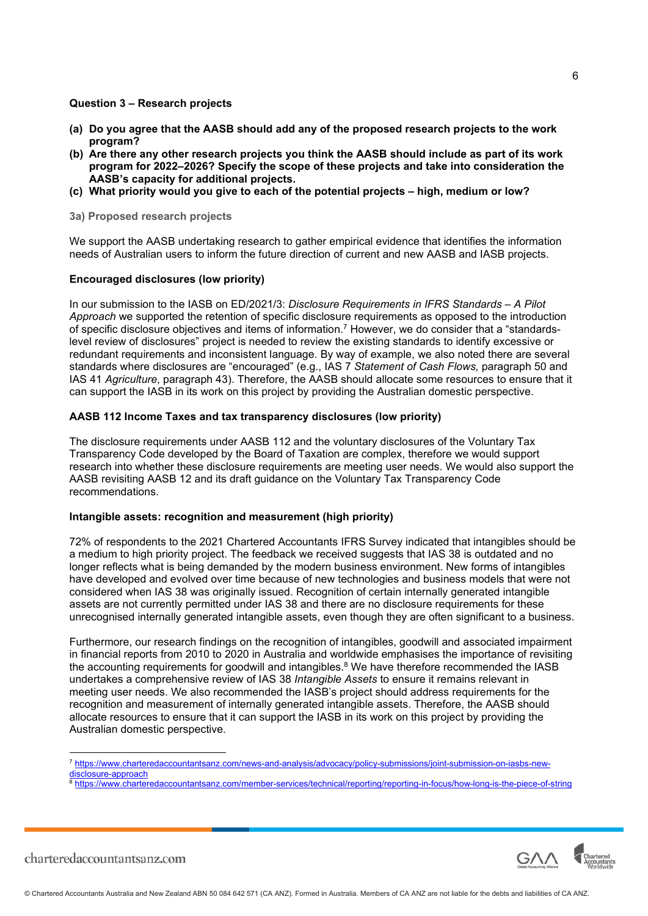## **Question 3 – Research projects**

- **(a) Do you agree that the AASB should add any of the proposed research projects to the work program?**
- **(b) Are there any other research projects you think the AASB should include as part of its work program for 2022–2026? Specify the scope of these projects and take into consideration the AASB's capacity for additional projects.**
- **(c) What priority would you give to each of the potential projects high, medium or low?**

**3a) Proposed research projects** 

We support the AASB undertaking research to gather empirical evidence that identifies the information needs of Australian users to inform the future direction of current and new AASB and IASB projects.

# **Encouraged disclosures (low priority)**

In our submission to the IASB on ED/2021/3: *Disclosure Requirements in IFRS Standards – A Pilot Approach* we supported the retention of specific disclosure requirements as opposed to the introduction of specific disclosure objectives and items of information.[7](#page-5-0) However, we do consider that a "standardslevel review of disclosures" project is needed to review the existing standards to identify excessive or redundant requirements and inconsistent language. By way of example, we also noted there are several standards where disclosures are "encouraged" (e.g., IAS 7 *Statement of Cash Flows,* paragraph 50 and IAS 41 *Agriculture*, paragraph 43). Therefore, the AASB should allocate some resources to ensure that it can support the IASB in its work on this project by providing the Australian domestic perspective.

# **AASB 112 Income Taxes and tax transparency disclosures (low priority)**

The disclosure requirements under AASB 112 and the voluntary disclosures of the Voluntary Tax Transparency Code developed by the Board of Taxation are complex, therefore we would support research into whether these disclosure requirements are meeting user needs. We would also support the AASB revisiting AASB 12 and its draft guidance on the Voluntary Tax Transparency Code recommendations.

### **Intangible assets: recognition and measurement (high priority)**

72% of respondents to the 2021 Chartered Accountants IFRS Survey indicated that intangibles should be a medium to high priority project. The feedback we received suggests that IAS 38 is outdated and no longer reflects what is being demanded by the modern business environment. New forms of intangibles have developed and evolved over time because of new technologies and business models that were not considered when IAS 38 was originally issued. Recognition of certain internally generated intangible assets are not currently permitted under IAS 38 and there are no disclosure requirements for these unrecognised internally generated intangible assets, even though they are often significant to a business.

Furthermore, our research findings on the recognition of intangibles, goodwill and associated impairment in financial reports from 2010 to 2020 in Australia and worldwide emphasises the importance of revisiting the accounting requirements for goodwill and intangibles. $^8$  $^8$  We have therefore recommended the IASB undertakes a comprehensive review of IAS 38 *Intangible Assets* to ensure it remains relevant in meeting user needs. We also recommended the IASB's project should address requirements for the recognition and measurement of internally generated intangible assets. Therefore, the AASB should allocate resources to ensure that it can support the IASB in its work on this project by providing the Australian domestic perspective.

<span id="page-5-0"></span><sup>7</sup> https://www.charteredaccountantsanz.com/news-and-analysis/advocacy/policy-submissions/joint-submission-on-iasbs-newdisclosure-approach

<span id="page-5-1"></span><sup>8</sup> https://www.charteredaccountantsanz.com/member-services/technical/reporting/reporting-in-focus/how-long-is-the-piece-of-string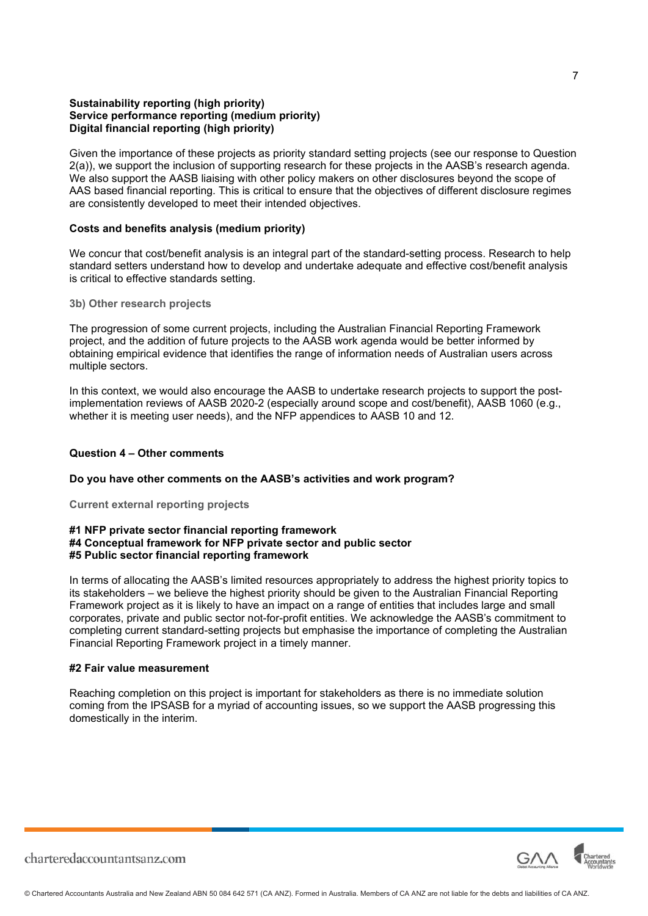## **Sustainability reporting (high priority) Service performance reporting (medium priority) Digital financial reporting (high priority)**

Given the importance of these projects as priority standard setting projects (see our response to Question 2(a)), we support the inclusion of supporting research for these projects in the AASB's research agenda. We also support the AASB liaising with other policy makers on other disclosures beyond the scope of AAS based financial reporting. This is critical to ensure that the objectives of different disclosure regimes are consistently developed to meet their intended objectives.

### **Costs and benefits analysis (medium priority)**

We concur that cost/benefit analysis is an integral part of the standard-setting process. Research to help standard setters understand how to develop and undertake adequate and effective cost/benefit analysis is critical to effective standards setting.

#### **3b) Other research projects**

The progression of some current projects, including the Australian Financial Reporting Framework project, and the addition of future projects to the AASB work agenda would be better informed by obtaining empirical evidence that identifies the range of information needs of Australian users across multiple sectors.

In this context, we would also encourage the AASB to undertake research projects to support the postimplementation reviews of AASB 2020-2 (especially around scope and cost/benefit), AASB 1060 (e.g., whether it is meeting user needs), and the NFP appendices to AASB 10 and 12.

#### **Question 4 – Other comments**

# **Do you have other comments on the AASB's activities and work program?**

**Current external reporting projects** 

#### **#1 NFP private sector financial reporting framework #4 Conceptual framework for NFP private sector and public sector #5 Public sector financial reporting framework**

In terms of allocating the AASB's limited resources appropriately to address the highest priority topics to its stakeholders – we believe the highest priority should be given to the Australian Financial Reporting Framework project as it is likely to have an impact on a range of entities that includes large and small corporates, private and public sector not-for-profit entities. We acknowledge the AASB's commitment to completing current standard-setting projects but emphasise the importance of completing the Australian Financial Reporting Framework project in a timely manner.

#### **#2 Fair value measurement**

Reaching completion on this project is important for stakeholders as there is no immediate solution coming from the IPSASB for a myriad of accounting issues, so we support the AASB progressing this domestically in the interim.



7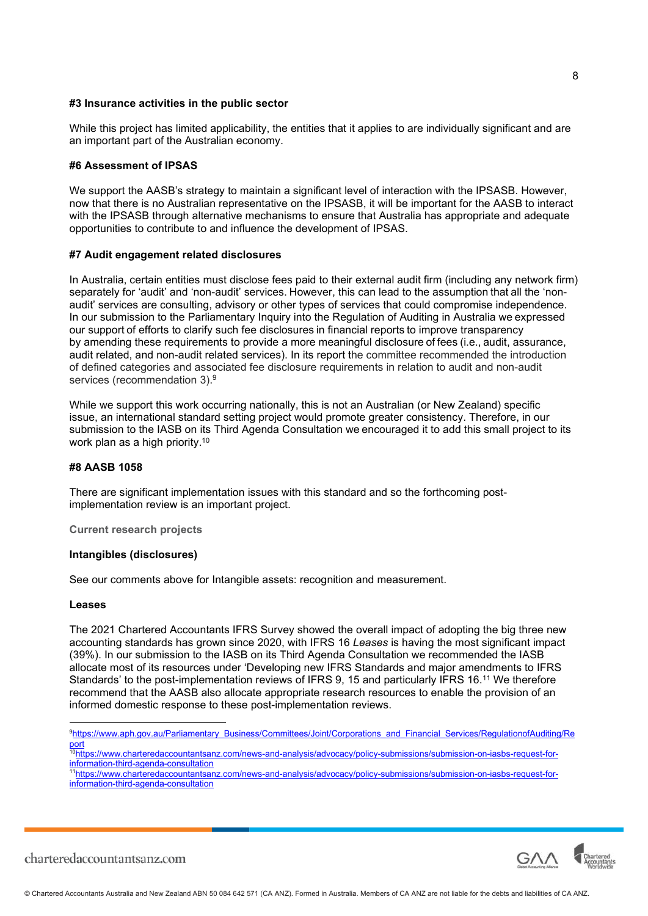#### **#3 Insurance activities in the public sector**

While this project has limited applicability, the entities that it applies to are individually significant and are an important part of the Australian economy.

#### **#6 Assessment of IPSAS**

We support the AASB's strategy to maintain a significant level of interaction with the IPSASB. However, now that there is no Australian representative on the IPSASB, it will be important for the AASB to interact with the IPSASB through alternative mechanisms to ensure that Australia has appropriate and adequate opportunities to contribute to and influence the development of IPSAS.

#### **#7 Audit engagement related disclosures**

In Australia, certain entities must disclose fees paid to their external audit firm (including any network firm) separately for 'audit' and 'non-audit' services. However, this can lead to the assumption that all the 'nonaudit' services are consulting, advisory or other types of services that could compromise independence. In our submission to the Parliamentary Inquiry into the Regulation of Auditing in Australia we expressed our support of efforts to clarify such fee disclosures in financial reports to improve transparency by amending these requirements to provide a more meaningful disclosure of fees (i.e., audit, assurance, audit related, and non-audit related services). In its report the committee recommended the introduction of defined categories and associated fee disclosure requirements in relation to audit and non-audit services (recommendation 3). [9](#page-7-0)

While we support this work occurring nationally, this is not an Australian (or New Zealand) specific issue, an international standard setting project would promote greater consistency. Therefore, in our submission to the IASB on its Third Agenda Consultation we encouraged it to add this small project to its work plan as a high priority.<sup>[10](#page-7-1)</sup>

#### **#8 AASB 1058**

There are significant implementation issues with this standard and so the forthcoming postimplementation review is an important project.

**Current research projects** 

### **Intangibles (disclosures)**

See our comments above for Intangible assets: recognition and measurement.

#### **Leases**

The 2021 Chartered Accountants IFRS Survey showed the overall impact of adopting the big three new accounting standards has grown since 2020, with IFRS 16 *Leases* is having the most significant impact (39%). In our submission to the IASB on its Third Agenda Consultation we recommended the IASB allocate most of its resources under 'Developing new IFRS Standards and major amendments to IFRS Standards' to the post-implementation reviews of IFRS 9, 15 and particularly IFRS 16.[11](#page-7-2) We therefore recommend that the AASB also allocate appropriate research resources to enable the provision of an informed domestic response to these post-implementation reviews.

<span id="page-7-0"></span><sup>9</sup>https://www.aph.gov.au/Parliamentary\_Business/Committees/Joint/Corporations\_and\_Financial\_Services/RegulationofAuditing/Re <u>port</u>

<span id="page-7-1"></span><sup>10</sup>https://www.charteredaccountantsanz.com/news-and-analysis/advocacy/policy-submissions/submission-on-iasbs-request-forinformation-third-agenda-consultation

<span id="page-7-2"></span><sup>11</sup>https://www.charteredaccountantsanz.com/news-and-analysis/advocacy/policy-submissions/submission-on-iasbs-request-forinformation-third-agenda-consultation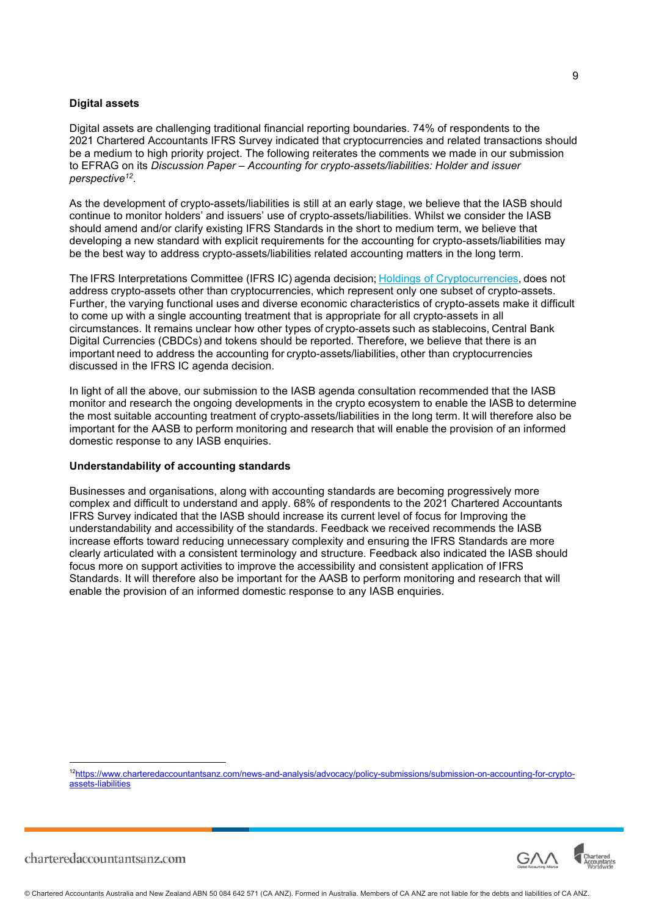#### **Digital assets**

Digital assets are challenging traditional financial reporting boundaries. 74% of respondents to the 2021 Chartered Accountants IFRS Survey indicated that cryptocurrencies and related transactions should be a medium to high priority project. The following reiterates the comments we made in our submission to EFRAG on its *Discussion Paper – Accounting for crypto-assets/liabilities: Holder and issuer perspective[12](#page-8-0)* .

As the development of crypto-assets/liabilities is still at an early stage, we believe that the IASB should continue to monitor holders' and issuers' use of crypto-assets/liabilities. Whilst we consider the IASB should amend and/or clarify existing IFRS Standards in the short to medium term, we believe that developing a new standard with explicit requirements for the accounting for crypto-assets/liabilities may be the best way to address crypto-assets/liabilities related accounting matters in the long term.

The IFRS Interpretations Committee (IFRS IC) agenda decision; Holdings of Cryptocurrencies, does not address crypto-assets other than cryptocurrencies, which represent only one subset of crypto-assets. Further, the varying functional uses and diverse economic characteristics of crypto-assets make it difficult to come up with a single accounting treatment that is appropriate for all crypto-assets in all circumstances. It remains unclear how other types of crypto-assets such as stablecoins, Central Bank Digital Currencies (CBDCs) and tokens should be reported. Therefore, we believe that there is an important need to address the accounting for crypto-assets/liabilities, other than cryptocurrencies discussed in the IFRS IC agenda decision. 

In light of all the above, our submission to the IASB agenda consultation recommended that the IASB monitor and research the ongoing developments in the crypto ecosystem to enable the IASB to determine the most suitable accounting treatment of crypto-assets/liabilities in the long term. It will therefore also be important for the AASB to perform monitoring and research that will enable the provision of an informed domestic response to any IASB enquiries.

#### **Understandability of accounting standards**

Businesses and organisations, along with accounting standards are becoming progressively more complex and difficult to understand and apply. 68% of respondents to the 2021 Chartered Accountants IFRS Survey indicated that the IASB should increase its current level of focus for Improving the understandability and accessibility of the standards. Feedback we received recommends the IASB increase efforts toward reducing unnecessary complexity and ensuring the IFRS Standards are more clearly articulated with a consistent terminology and structure. Feedback also indicated the IASB should focus more on support activities to improve the accessibility and consistent application of IFRS Standards. It will therefore also be important for the AASB to perform monitoring and research that will enable the provision of an informed domestic response to any IASB enquiries.

<span id="page-8-0"></span>12https://www.charteredaccountantsanz.com/news-and-analysis/advocacy/policy-submissions/submission-on-accounting-for-cryptoassets-liabilities